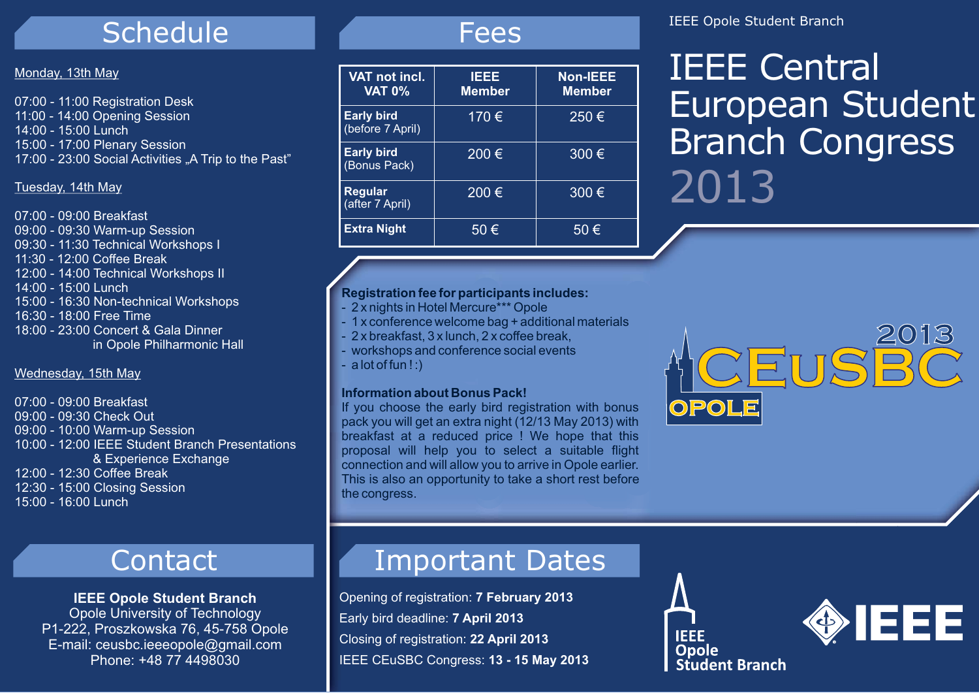## Schedule

#### Monday, 13th May

07:00 - 11:00 Registration Desk 11:00 - 14:00 Opening Session 14:00 - 15:00 Lunch15:00 - 17:00 Plenary Session 17:00 - 23:00 Social Activities "A Trip to the Past"

## Tuesday, 14th May

07:00 - 09:00 Breakfast 09:00 - 09:30 Warm-up Session 09:30 - 11:30 Technical Workshops I 11:30 - 12:00 Coffee Break12:00 - 14:00 Technical Workshops II 14:00 - 15:00 Lunch 15:00 - 16:30 Non-technical Workshops 16:30 - 18:00 Free Time 18:00 - 23:00 Concert & Gala Dinner in Opole Philharmonic Hall

#### Wednesday, 15th May

07:00 - 09:00 Breakfast 09:00 - 09:30 Check Out 09:00 - 10:00 Warm-up Session 10:00 - 12:00 IEEE Student Branch Presentations & Experience Exchange 12:00 - 12:30 Coffee Break 12:30 - 15:00 Closing Session 15:00 - 16:00 Lunch

## Contact

## **IEEE Opole Student Branch** Opole University of Technology P1-222, Proszkowska 76, 45-758 Opole E-mail: ceusbc.ieeeopole@gmail.com Phone: +48 77 4498030

## Fees

| VAT not incl.<br><b>VAT 0%</b>        | IEEE<br><b>Member</b>     | <b>Non-IEEE</b><br><b>Member</b> |
|---------------------------------------|---------------------------|----------------------------------|
| <b>Early bird</b><br>(before 7 April) | 170€                      | $250 \in$                        |
| <b>Early bird</b><br>(Bonus Pack)     | 200 $\overline{\epsilon}$ | 300€                             |
| Regular<br>(after 7 April)            | 200€                      | 300€                             |
| <b>Extra Night</b>                    | 50€                       | 50€                              |

## **Registration fee for participants includes:**

- 2 x nights in Hotel Mercure\*\*\* Opole
- 1 x conference welcome bag + additional materials
- 2 x breakfast, 3 x lunch, 2 x coffee break,
- workshops and conference social events
- a lot of fun ! :)

#### **Information about Bonus Pack!**

If you choose the early bird registration with bonus pack you will get an extra night (12/13 May 2013) with breakfast at a reduced price ! We hope that this proposal will help you to select a suitable flight connection and will allow you to arrive in Opole earlier. This is also an opportunity to take a short rest before the congress.

## Important Dates

Opening of registration: **7 February 2013** Early bird deadline: **7 April 2013** Closing of registration: **22 April 2013** IEEE CEuSBC Congress: **13 - 15 May 2013**

## IEEE Opole Student Branch

# IEEE Central European Student Branch Congress 2013



**IEEE Opole** 

**Student Branch**